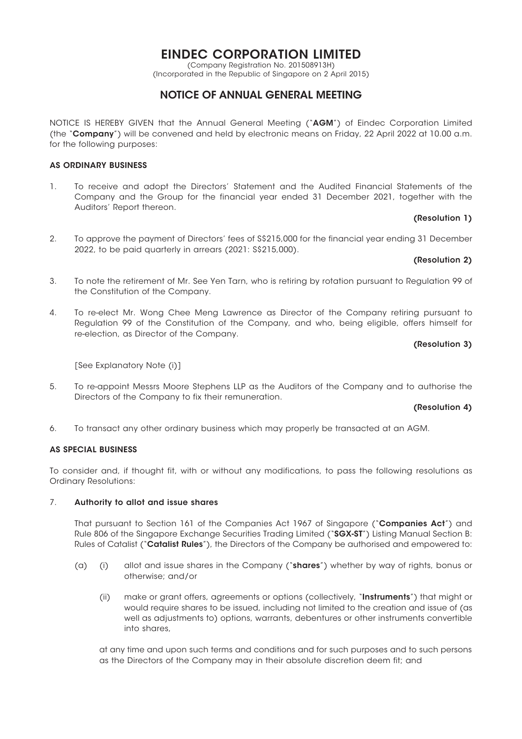# EINDEC CORPORATION LIMITED

(Company Registration No. 201508913H) (Incorporated in the Republic of Singapore on 2 April 2015)

## NOTICE OF ANNUAL GENERAL MEETING

NOTICE IS HEREBY GIVEN that the Annual General Meeting ("AGM") of Eindec Corporation Limited (the "Company") will be convened and held by electronic means on Friday, 22 April 2022 at 10.00 a.m. for the following purposes:

### AS ORDINARY BUSINESS

1. To receive and adopt the Directors' Statement and the Audited Financial Statements of the Company and the Group for the financial year ended 31 December 2021, together with the Auditors' Report thereon.

### (Resolution 1)

2. To approve the payment of Directors' fees of S\$215,000 for the financial year ending 31 December 2022, to be paid quarterly in arrears (2021: S\$215,000).

### (Resolution 2)

- 3. To note the retirement of Mr. See Yen Tarn, who is retiring by rotation pursuant to Regulation 99 of the Constitution of the Company.
- 4. To re-elect Mr. Wong Chee Meng Lawrence as Director of the Company retiring pursuant to Regulation 99 of the Constitution of the Company, and who, being eligible, offers himself for re-election, as Director of the Company.

### (Resolution 3)

[See Explanatory Note (i)]

5. To re-appoint Messrs Moore Stephens LLP as the Auditors of the Company and to authorise the Directors of the Company to fix their remuneration.

#### (Resolution 4)

6. To transact any other ordinary business which may properly be transacted at an AGM.

#### AS SPECIAL BUSINESS

To consider and, if thought fit, with or without any modifications, to pass the following resolutions as Ordinary Resolutions:

#### 7. Authority to allot and issue shares

That pursuant to Section 161 of the Companies Act 1967 of Singapore ("Companies Act") and Rule 806 of the Singapore Exchange Securities Trading Limited ("SGX-ST") Listing Manual Section B: Rules of Catalist ("Catalist Rules"), the Directors of the Company be authorised and empowered to:

- (a) (i) allot and issue shares in the Company ("shares") whether by way of rights, bonus or otherwise; and/or
	- (ii) make or grant offers, agreements or options (collectively, "**Instruments**") that might or would require shares to be issued, including not limited to the creation and issue of (as well as adjustments to) options, warrants, debentures or other instruments convertible into shares,

at any time and upon such terms and conditions and for such purposes and to such persons as the Directors of the Company may in their absolute discretion deem fit; and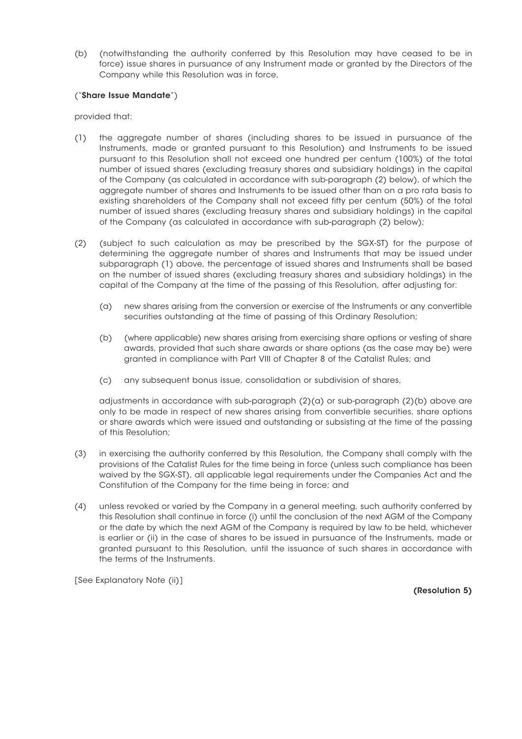(b) (notwithstanding the authority conferred by this Resolution may have ceased to be in force) issue shares in pursuance of any Instrument made or granted by the Directors of the Company while this Resolution was in force,

### ("Share Issue Mandate")

provided that:

- (1) the aggregate number of shares (including shares to be issued in pursuance of the Instruments, made or granted pursuant to this Resolution) and Instruments to be issued pursuant to this Resolution shall not exceed one hundred per centum (100%) of the total number of issued shares (excluding treasury shares and subsidiary holdings) in the capital of the Company (as calculated in accordance with sub-paragraph (2) below), of which the aggregate number of shares and Instruments to be issued other than on a pro rata basis to existing shareholders of the Company shall not exceed fifty per centum (50%) of the total number of issued shares (excluding treasury shares and subsidiary holdings) in the capital of the Company (as calculated in accordance with sub-paragraph (2) below);
- (2) (subject to such calculation as may be prescribed by the SGX-ST) for the purpose of determining the aggregate number of shares and Instruments that may be issued under subparagraph (1) above, the percentage of issued shares and Instruments shall be based on the number of issued shares (excluding treasury shares and subsidiary holdings) in the capital of the Company at the time of the passing of this Resolution, after adjusting for:
	- (a) new shares arising from the conversion or exercise of the Instruments or any convertible securities outstanding at the time of passing of this Ordinary Resolution;
	- (b) (where applicable) new shares arising from exercising share options or vesting of share awards, provided that such share awards or share options (as the case may be) were granted in compliance with Part VIII of Chapter 8 of the Catalist Rules; and
	- (c) any subsequent bonus issue, consolidation or subdivision of shares,

adjustments in accordance with sub-paragraph (2)(a) or sub-paragraph (2)(b) above are only to be made in respect of new shares arising from convertible securities, share options or share awards which were issued and outstanding or subsisting at the time of the passing of this Resolution;

- (3) in exercising the authority conferred by this Resolution, the Company shall comply with the provisions of the Catalist Rules for the time being in force (unless such compliance has been waived by the SGX-ST), all applicable legal requirements under the Companies Act and the Constitution of the Company for the time being in force; and
- (4) unless revoked or varied by the Company in a general meeting, such authority conferred by this Resolution shall continue in force (i) until the conclusion of the next AGM of the Company or the date by which the next AGM of the Company is required by law to be held, whichever is earlier or (ii) in the case of shares to be issued in pursuance of the Instruments, made or granted pursuant to this Resolution, until the issuance of such shares in accordance with the terms of the Instruments.

[See Explanatory Note (ii)]

(Resolution 5)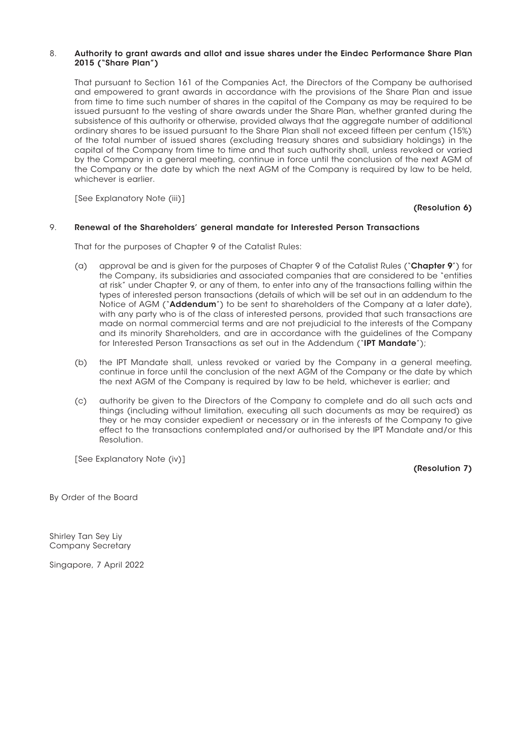### 8. Authority to grant awards and allot and issue shares under the Eindec Performance Share Plan 2015 ("Share Plan")

That pursuant to Section 161 of the Companies Act, the Directors of the Company be authorised and empowered to grant awards in accordance with the provisions of the Share Plan and issue from time to time such number of shares in the capital of the Company as may be required to be issued pursuant to the vesting of share awards under the Share Plan, whether granted during the subsistence of this authority or otherwise, provided always that the aggregate number of additional ordinary shares to be issued pursuant to the Share Plan shall not exceed fifteen per centum (15%) of the total number of issued shares (excluding treasury shares and subsidiary holdings) in the capital of the Company from time to time and that such authority shall, unless revoked or varied by the Company in a general meeting, continue in force until the conclusion of the next AGM of the Company or the date by which the next AGM of the Company is required by law to be held, whichever is earlier.

[See Explanatory Note (iii)]

(Resolution 6)

### 9. Renewal of the Shareholders' general mandate for Interested Person Transactions

That for the purposes of Chapter 9 of the Catalist Rules:

- (a) approval be and is given for the purposes of Chapter 9 of the Catalist Rules ("**Chapter 9**") for the Company, its subsidiaries and associated companies that are considered to be "entities at risk" under Chapter 9, or any of them, to enter into any of the transactions falling within the types of interested person transactions (details of which will be set out in an addendum to the Notice of AGM ("**Addendum**") to be sent to shareholders of the Company at a later date), with any party who is of the class of interested persons, provided that such transactions are made on normal commercial terms and are not prejudicial to the interests of the Company and its minority Shareholders, and are in accordance with the guidelines of the Company for Interested Person Transactions as set out in the Addendum ("IPT Mandate");
- (b) the IPT Mandate shall, unless revoked or varied by the Company in a general meeting, continue in force until the conclusion of the next AGM of the Company or the date by which the next AGM of the Company is required by law to be held, whichever is earlier; and
- (c) authority be given to the Directors of the Company to complete and do all such acts and things (including without limitation, executing all such documents as may be required) as they or he may consider expedient or necessary or in the interests of the Company to give effect to the transactions contemplated and/or authorised by the IPT Mandate and/or this Resolution.

[See Explanatory Note (iv)]

(Resolution 7)

By Order of the Board

Shirley Tan Sey Liy Company Secretary

Singapore, 7 April 2022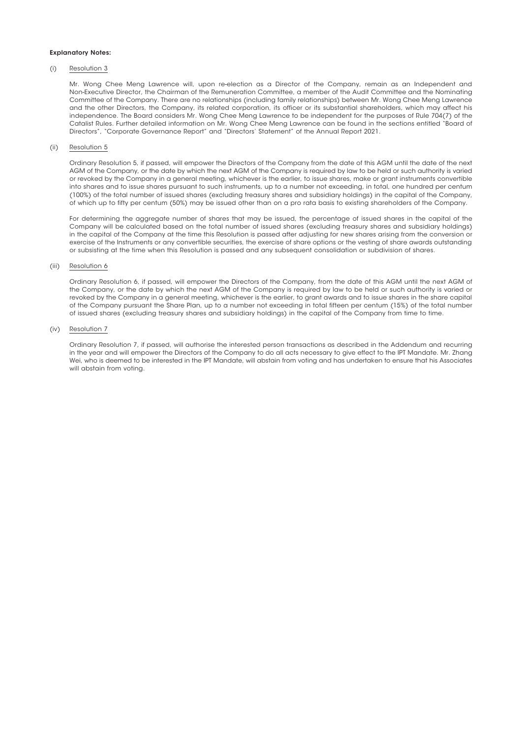#### Explanatory Notes:

#### (i) Resolution 3

Mr. Wong Chee Meng Lawrence will, upon re-election as a Director of the Company, remain as an Independent and Non-Executive Director, the Chairman of the Remuneration Committee, a member of the Audit Committee and the Nominating Committee of the Company. There are no relationships (including family relationships) between Mr. Wong Chee Meng Lawrence and the other Directors, the Company, its related corporation, its officer or its substantial shareholders, which may affect his independence. The Board considers Mr. Wong Chee Meng Lawrence to be independent for the purposes of Rule 704(7) of the Catalist Rules. Further detailed information on Mr. Wong Chee Meng Lawrence can be found in the sections entitled "Board of Directors", "Corporate Governance Report" and "Directors' Statement" of the Annual Report 2021.

#### (ii) Resolution 5

Ordinary Resolution 5, if passed, will empower the Directors of the Company from the date of this AGM until the date of the next AGM of the Company, or the date by which the next AGM of the Company is required by law to be held or such authority is varied or revoked by the Company in a general meeting, whichever is the earlier, to issue shares, make or grant instruments convertible into shares and to issue shares pursuant to such instruments, up to a number not exceeding, in total, one hundred per centum (100%) of the total number of issued shares (excluding treasury shares and subsidiary holdings) in the capital of the Company, of which up to fifty per centum (50%) may be issued other than on a pro rata basis to existing shareholders of the Company.

For determining the aggregate number of shares that may be issued, the percentage of issued shares in the capital of the Company will be calculated based on the total number of issued shares (excluding treasury shares and subsidiary holdings) in the capital of the Company at the time this Resolution is passed after adjusting for new shares arising from the conversion or exercise of the Instruments or any convertible securities, the exercise of share options or the vesting of share awards outstanding or subsisting at the time when this Resolution is passed and any subsequent consolidation or subdivision of shares.

#### (iii) Resolution 6

Ordinary Resolution 6, if passed, will empower the Directors of the Company, from the date of this AGM until the next AGM of the Company, or the date by which the next AGM of the Company is required by law to be held or such authority is varied or revoked by the Company in a general meeting, whichever is the earlier, to grant awards and to issue shares in the share capital of the Company pursuant the Share Plan, up to a number not exceeding in total fifteen per centum (15%) of the total number of issued shares (excluding treasury shares and subsidiary holdings) in the capital of the Company from time to time.

#### (iv) Resolution 7

Ordinary Resolution 7, if passed, will authorise the interested person transactions as described in the Addendum and recurring in the year and will empower the Directors of the Company to do all acts necessary to give effect to the IPT Mandate. Mr. Zhang Wei, who is deemed to be interested in the IPT Mandate, will abstain from voting and has undertaken to ensure that his Associates will abstain from voting.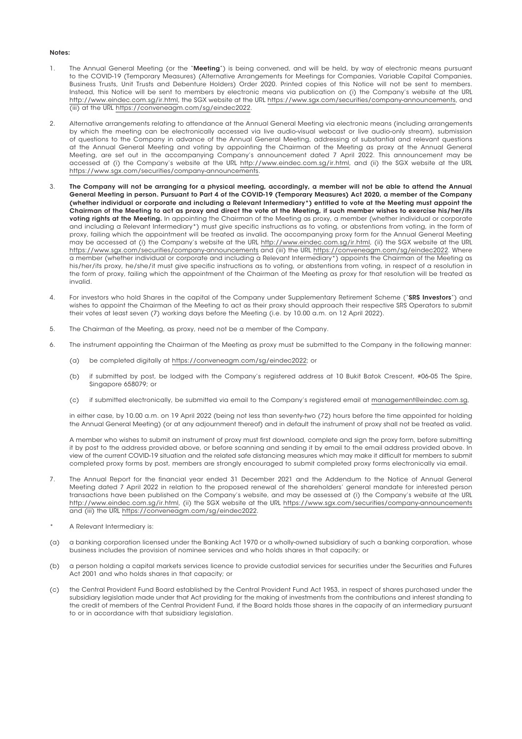#### Notes:

- 1. The Annual General Meeting (or the "Meeting") is being convened, and will be held, by way of electronic means pursuant to the COVID-19 (Temporary Measures) (Alternative Arrangements for Meetings for Companies, Variable Capital Companies, Business Trusts, Unit Trusts and Debenture Holders) Order 2020. Printed copies of this Notice will not be sent to members. Instead, this Notice will be sent to members by electronic means via publication on (i) the Company's website at the URL http://www.eindec.com.sg/ir.html, the SGX website at the URL https://www.sgx.com/securities/company-announcements, and (iii) at the URL https://conveneagm.com/sg/eindec2022.
- 2. Alternative arrangements relating to attendance at the Annual General Meeting via electronic means (including arrangements by which the meeting can be electronically accessed via live audio-visual webcast or live audio-only stream), submission of questions to the Company in advance of the Annual General Meeting, addressing of substantial and relevant questions at the Annual General Meeting and voting by appointing the Chairman of the Meeting as proxy at the Annual General Meeting, are set out in the accompanying Company's announcement dated 7 April 2022. This announcement may be accessed at (i) the Company's website at the URL http://www.eindec.com.sg/ir.html, and (ii) the SGX website at the URL https://www.sgx.com/securities/company-announcements.
- 3. The Company will not be arranging for a physical meeting, accordingly, a member will not be able to attend the Annual General Meeting in person. Pursuant to Part 4 of the COVID-19 (Temporary Measures) Act 2020, a member of the Company (whether individual or corporate and including a Relevant Intermediary\*) entitled to vote at the Meeting must appoint the Chairman of the Meeting to act as proxy and direct the vote at the Meeting, if such member wishes to exercise his/her/its voting rights at the Meeting. In appointing the Chairman of the Meeting as proxy, a member (whether individual or corporate and including a Relevant Intermediary\*) must give specific instructions as to voting, or abstentions from voting, in the form of proxy, failing which the appointment will be treated as invalid. The accompanying proxy form for the Annual General Meeting may be accessed at (i) the Company's website at the URL http://www.eindec.com.sg/ir.html, (ii) the SGX website at the URL https://www.sgx.com/securities/company-announcements and (iii) the URL https://conveneagm.com/sg/eindec2022. Where a member (whether individual or corporate and including a Relevant Intermediary\*) appoints the Chairman of the Meeting as his/her/its proxy, he/she/it must give specific instructions as to voting, or abstentions from voting, in respect of a resolution in the form of proxy, failing which the appointment of the Chairman of the Meeting as proxy for that resolution will be treated as invalid.
- 4. For investors who hold Shares in the capital of the Company under Supplementary Retirement Scheme ("SRS Investors") and wishes to appoint the Chairman of the Meeting to act as their proxy should approach their respective SRS Operators to submit their votes at least seven (7) working days before the Meeting (i.e. by 10.00 a.m. on 12 April 2022).
- 5. The Chairman of the Meeting, as proxy, need not be a member of the Company.
- 6. The instrument appointing the Chairman of the Meeting as proxy must be submitted to the Company in the following manner:
	- (a) be completed digitally at https://conveneagm.com/sg/eindec2022; or
	- (b) if submitted by post, be lodged with the Company's registered address at 10 Bukit Batok Crescent, #06-05 The Spire, Singapore 658079; or
	- (c) if submitted electronically, be submitted via email to the Company's registered email at management@eindec.com.sg,

in either case, by 10.00 a.m. on 19 April 2022 (being not less than seventy-two (72) hours before the time appointed for holding the Annual General Meeting) (or at any adjournment thereof) and in default the instrument of proxy shall not be treated as valid.

A member who wishes to submit an instrument of proxy must first download, complete and sign the proxy form, before submitting it by post to the address provided above, or before scanning and sending it by email to the email address provided above. In view of the current COVID-19 situation and the related safe distancing measures which may make it difficult for members to submit completed proxy forms by post, members are strongly encouraged to submit completed proxy forms electronically via email.

- 7. The Annual Report for the financial year ended 31 December 2021 and the Addendum to the Notice of Annual General Meeting dated 7 April 2022 in relation to the proposed renewal of the shareholders' general mandate for interested person transactions have been published on the Company's website, and may be assessed at (i) the Company's website at the URL http://www.eindec.com.sg/ir.html, (ii) the SGX website at the URL https://www.sgx.com/securities/company-announcements and (iii) the URL https://conveneagm.com/sg/eindec2022.
- A Relevant Intermediary is:
- (a) a banking corporation licensed under the Banking Act 1970 or a wholly-owned subsidiary of such a banking corporation, whose business includes the provision of nominee services and who holds shares in that capacity; or
- (b) a person holding a capital markets services licence to provide custodial services for securities under the Securities and Futures Act 2001 and who holds shares in that capacity; or
- (c) the Central Provident Fund Board established by the Central Provident Fund Act 1953, in respect of shares purchased under the subsidiary legislation made under that Act providing for the making of investments from the contributions and interest standing to the credit of members of the Central Provident Fund, if the Board holds those shares in the capacity of an intermediary pursuant to or in accordance with that subsidiary legislation.